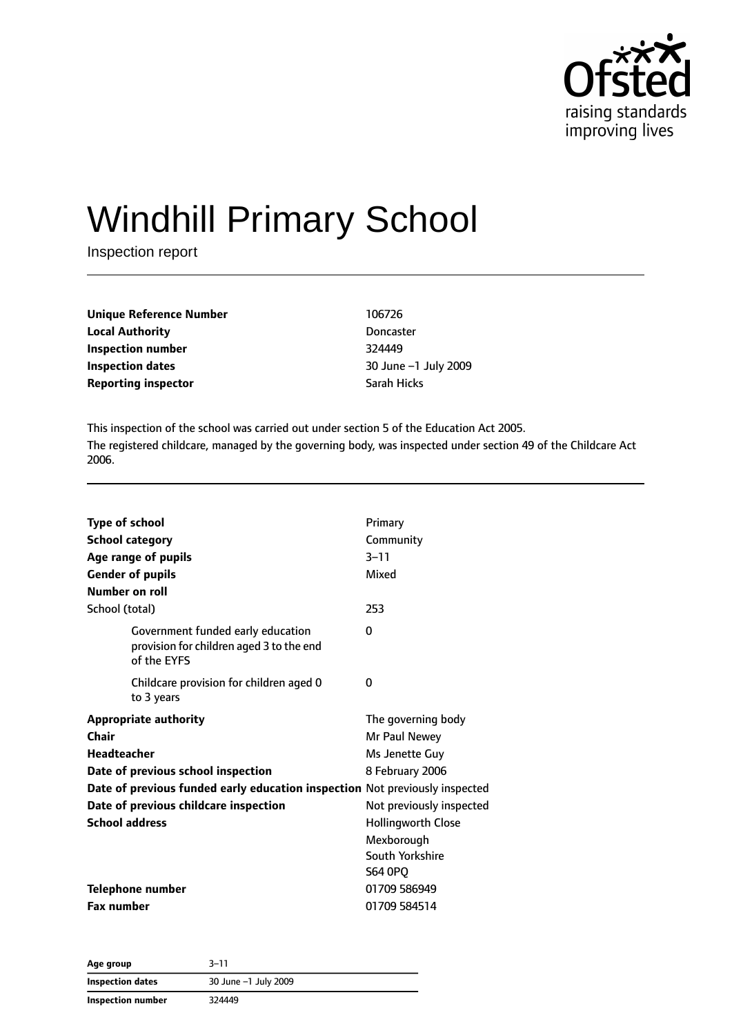

# Windhill Primary School

Inspection report

| <b>Unique Reference Number</b> | 106726           |
|--------------------------------|------------------|
| <b>Local Authority</b>         | <b>Doncaster</b> |
| Inspection number              | 324449           |
| Inspection dates               | $30$ June $-1$ . |
| <b>Reporting inspector</b>     | Sarah Hicks      |

**Doncaster Inspection number** 324449 **Inspection dates** 30 June –1 July 2009

This inspection of the school was carried out under section 5 of the Education Act 2005. The registered childcare, managed by the governing body, was inspected under section 49 of the Childcare Act 2006.

| <b>Type of school</b><br><b>School category</b><br>Age range of pupils<br><b>Gender of pupils</b> | Primary<br>Community<br>$3 - 11$<br>Mixed |
|---------------------------------------------------------------------------------------------------|-------------------------------------------|
| Number on roll                                                                                    |                                           |
| School (total)                                                                                    | 253                                       |
| Government funded early education<br>provision for children aged 3 to the end<br>of the EYFS      | 0                                         |
| Childcare provision for children aged 0<br>to 3 years                                             | 0                                         |
| <b>Appropriate authority</b>                                                                      | The governing body                        |
| Chair                                                                                             | Mr Paul Newey                             |
| <b>Headteacher</b>                                                                                | Ms Jenette Guy                            |
| Date of previous school inspection                                                                | 8 February 2006                           |
| Date of previous funded early education inspection Not previously inspected                       |                                           |
| Date of previous childcare inspection                                                             | Not previously inspected                  |
| <b>School address</b>                                                                             | <b>Hollingworth Close</b>                 |
|                                                                                                   | Mexborough                                |
|                                                                                                   | South Yorkshire                           |
|                                                                                                   | <b>S64 0PO</b>                            |
| <b>Telephone number</b>                                                                           | 01709 586949                              |
| <b>Fax number</b>                                                                                 | 01709 584514                              |

| Age group         | 3–11                 |  |
|-------------------|----------------------|--|
| Inspection dates  | 30 June -1 July 2009 |  |
| Inspection number | 324449               |  |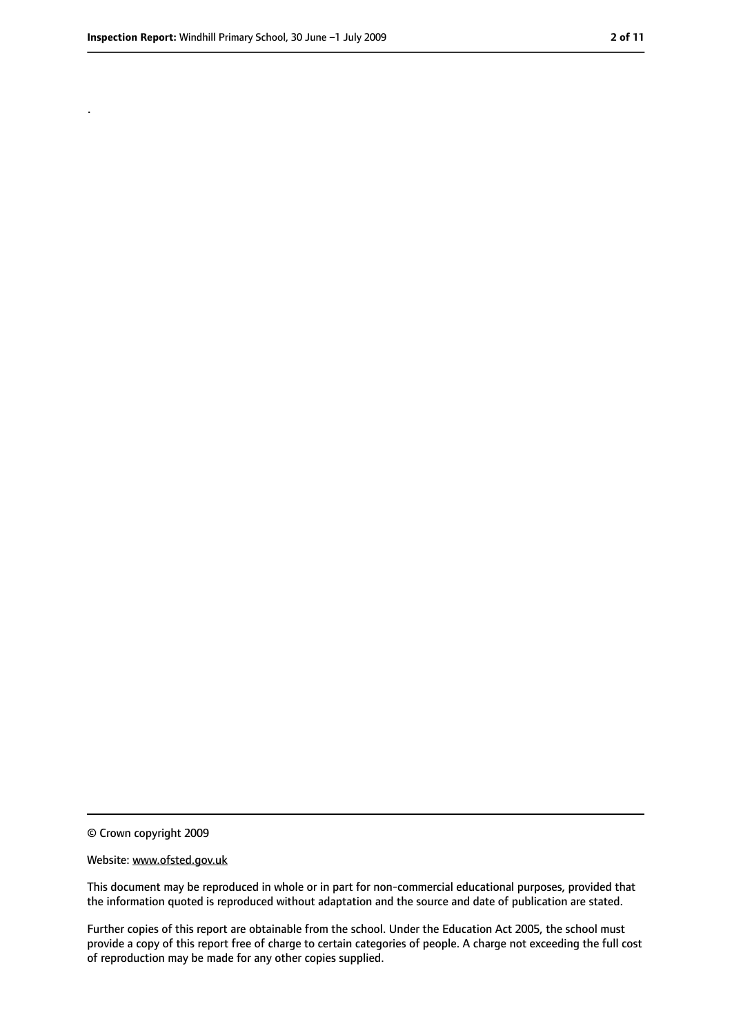.

<sup>©</sup> Crown copyright 2009

Website: www.ofsted.gov.uk

This document may be reproduced in whole or in part for non-commercial educational purposes, provided that the information quoted is reproduced without adaptation and the source and date of publication are stated.

Further copies of this report are obtainable from the school. Under the Education Act 2005, the school must provide a copy of this report free of charge to certain categories of people. A charge not exceeding the full cost of reproduction may be made for any other copies supplied.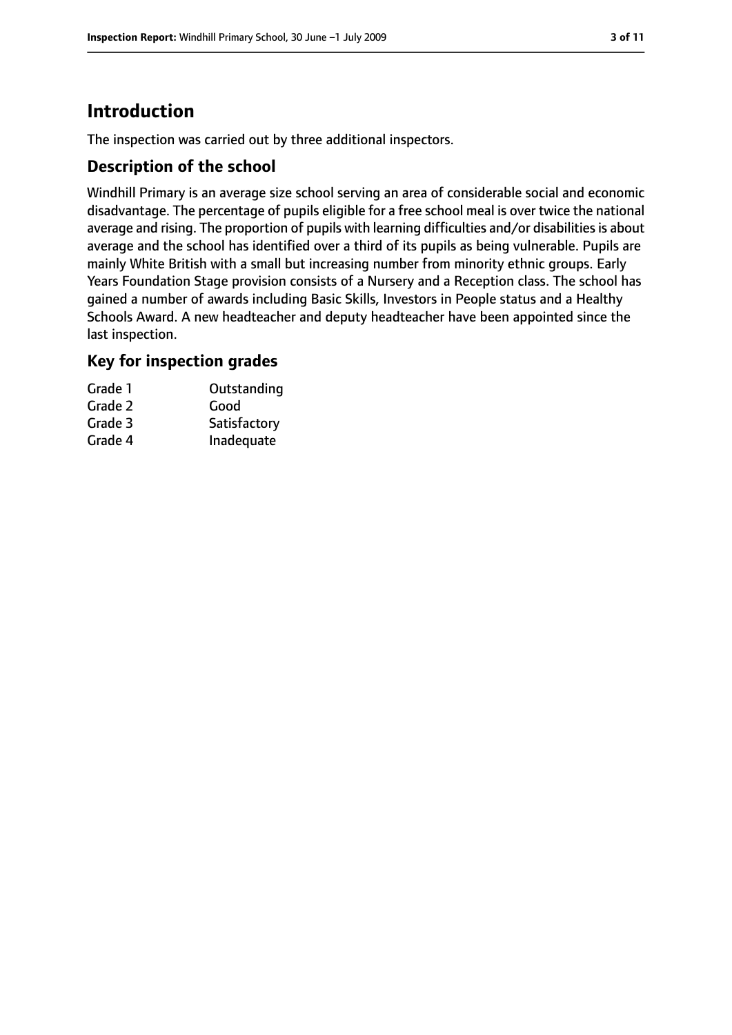# **Introduction**

The inspection was carried out by three additional inspectors.

## **Description of the school**

Windhill Primary is an average size school serving an area of considerable social and economic disadvantage. The percentage of pupils eligible for a free school meal is over twice the national average and rising. The proportion of pupils with learning difficulties and/or disabilities is about average and the school has identified over a third of its pupils as being vulnerable. Pupils are mainly White British with a small but increasing number from minority ethnic groups. Early Years Foundation Stage provision consists of a Nursery and a Reception class. The school has gained a number of awards including Basic Skills, Investors in People status and a Healthy Schools Award. A new headteacher and deputy headteacher have been appointed since the last inspection.

## **Key for inspection grades**

| Grade 1 | Outstanding  |
|---------|--------------|
| Grade 2 | Good         |
| Grade 3 | Satisfactory |
| Grade 4 | Inadequate   |
|         |              |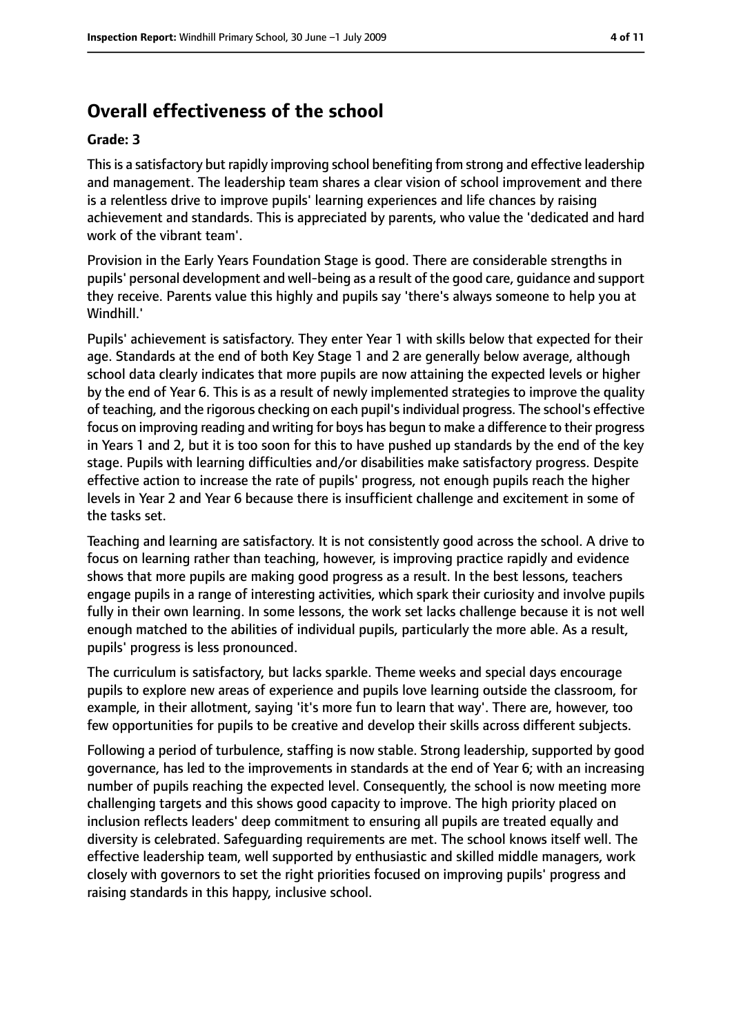# **Overall effectiveness of the school**

#### **Grade: 3**

Thisis a satisfactory but rapidly improving school benefiting from strong and effective leadership and management. The leadership team shares a clear vision of school improvement and there is a relentless drive to improve pupils' learning experiences and life chances by raising achievement and standards. This is appreciated by parents, who value the 'dedicated and hard work of the vibrant team'.

Provision in the Early Years Foundation Stage is good. There are considerable strengths in pupils' personal development and well-being as a result of the good care, guidance and support they receive. Parents value this highly and pupils say 'there's always someone to help you at Windhill.'

Pupils' achievement is satisfactory. They enter Year 1 with skills below that expected for their age. Standards at the end of both Key Stage 1 and 2 are generally below average, although school data clearly indicates that more pupils are now attaining the expected levels or higher by the end of Year 6. This is as a result of newly implemented strategies to improve the quality of teaching, and the rigorous checking on each pupil'sindividual progress. The school's effective focus on improving reading and writing for boys has begun to make a difference to their progress in Years 1 and 2, but it is too soon for this to have pushed up standards by the end of the key stage. Pupils with learning difficulties and/or disabilities make satisfactory progress. Despite effective action to increase the rate of pupils' progress, not enough pupils reach the higher levels in Year 2 and Year 6 because there is insufficient challenge and excitement in some of the tasks set.

Teaching and learning are satisfactory. It is not consistently good across the school. A drive to focus on learning rather than teaching, however, is improving practice rapidly and evidence shows that more pupils are making good progress as a result. In the best lessons, teachers engage pupils in a range of interesting activities, which spark their curiosity and involve pupils fully in their own learning. In some lessons, the work set lacks challenge because it is not well enough matched to the abilities of individual pupils, particularly the more able. As a result, pupils' progress is less pronounced.

The curriculum is satisfactory, but lacks sparkle. Theme weeks and special days encourage pupils to explore new areas of experience and pupils love learning outside the classroom, for example, in their allotment, saying 'it's more fun to learn that way'. There are, however, too few opportunities for pupils to be creative and develop their skills across different subjects.

Following a period of turbulence, staffing is now stable. Strong leadership, supported by good governance, has led to the improvements in standards at the end of Year 6; with an increasing number of pupils reaching the expected level. Consequently, the school is now meeting more challenging targets and this shows good capacity to improve. The high priority placed on inclusion reflects leaders' deep commitment to ensuring all pupils are treated equally and diversity is celebrated. Safeguarding requirements are met. The school knows itself well. The effective leadership team, well supported by enthusiastic and skilled middle managers, work closely with governors to set the right priorities focused on improving pupils' progress and raising standards in this happy, inclusive school.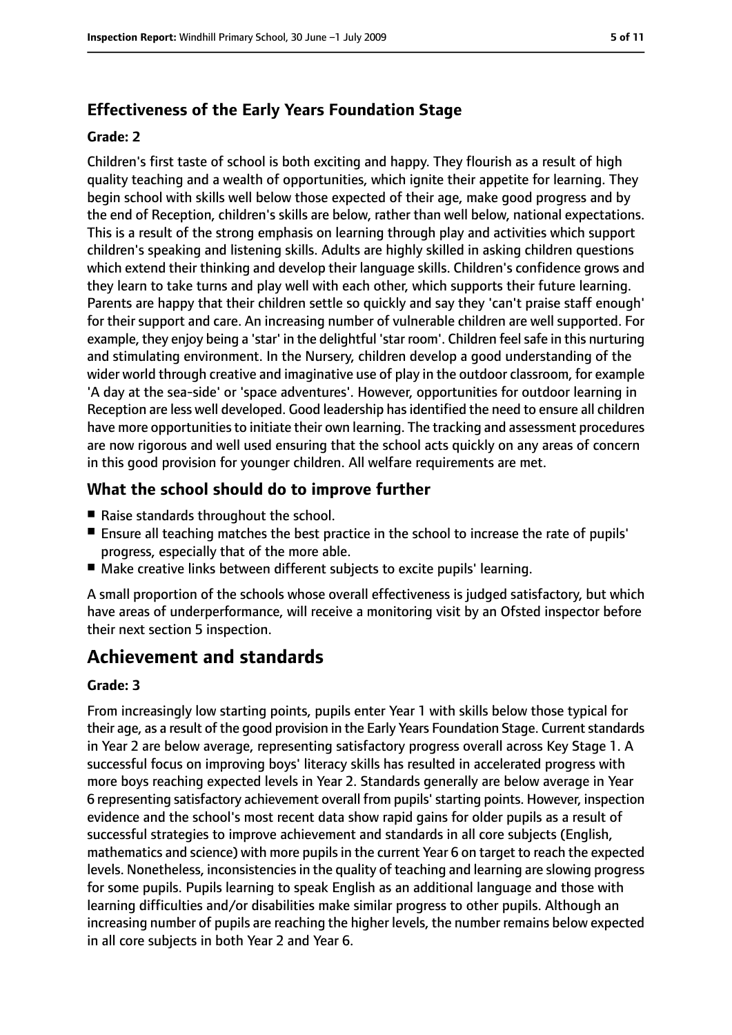## **Effectiveness of the Early Years Foundation Stage**

#### **Grade: 2**

Children's first taste of school is both exciting and happy. They flourish as a result of high quality teaching and a wealth of opportunities, which ignite their appetite for learning. They begin school with skills well below those expected of their age, make good progress and by the end of Reception, children's skills are below, rather than well below, national expectations. This is a result of the strong emphasis on learning through play and activities which support children's speaking and listening skills. Adults are highly skilled in asking children questions which extend their thinking and develop their language skills. Children's confidence grows and they learn to take turns and play well with each other, which supports their future learning. Parents are happy that their children settle so quickly and say they 'can't praise staff enough' for their support and care. An increasing number of vulnerable children are well supported. For example, they enjoy being a 'star' in the delightful 'star room'. Children feelsafe in this nurturing and stimulating environment. In the Nursery, children develop a good understanding of the wider world through creative and imaginative use of play in the outdoor classroom, for example 'A day at the sea-side' or 'space adventures'. However, opportunities for outdoor learning in Reception are less well developed. Good leadership has identified the need to ensure all children have more opportunities to initiate their own learning. The tracking and assessment procedures are now rigorous and well used ensuring that the school acts quickly on any areas of concern in this good provision for younger children. All welfare requirements are met.

## **What the school should do to improve further**

- Raise standards throughout the school.
- Ensure all teaching matches the best practice in the school to increase the rate of pupils' progress, especially that of the more able.
- Make creative links between different subjects to excite pupils' learning.

A small proportion of the schools whose overall effectiveness is judged satisfactory, but which have areas of underperformance, will receive a monitoring visit by an Ofsted inspector before their next section 5 inspection.

# **Achievement and standards**

#### **Grade: 3**

From increasingly low starting points, pupils enter Year 1 with skills below those typical for their age, as a result of the good provision in the Early Years Foundation Stage. Current standards in Year 2 are below average, representing satisfactory progress overall across Key Stage 1. A successful focus on improving boys' literacy skills has resulted in accelerated progress with more boys reaching expected levels in Year 2. Standards generally are below average in Year 6 representing satisfactory achievement overall from pupils'starting points. However, inspection evidence and the school's most recent data show rapid gains for older pupils as a result of successful strategies to improve achievement and standards in all core subjects (English, mathematics and science) with more pupils in the current Year 6 on target to reach the expected levels. Nonetheless, inconsistencies in the quality of teaching and learning are slowing progress for some pupils. Pupils learning to speak English as an additional language and those with learning difficulties and/or disabilities make similar progress to other pupils. Although an increasing number of pupils are reaching the higher levels, the number remains below expected in all core subjects in both Year 2 and Year 6.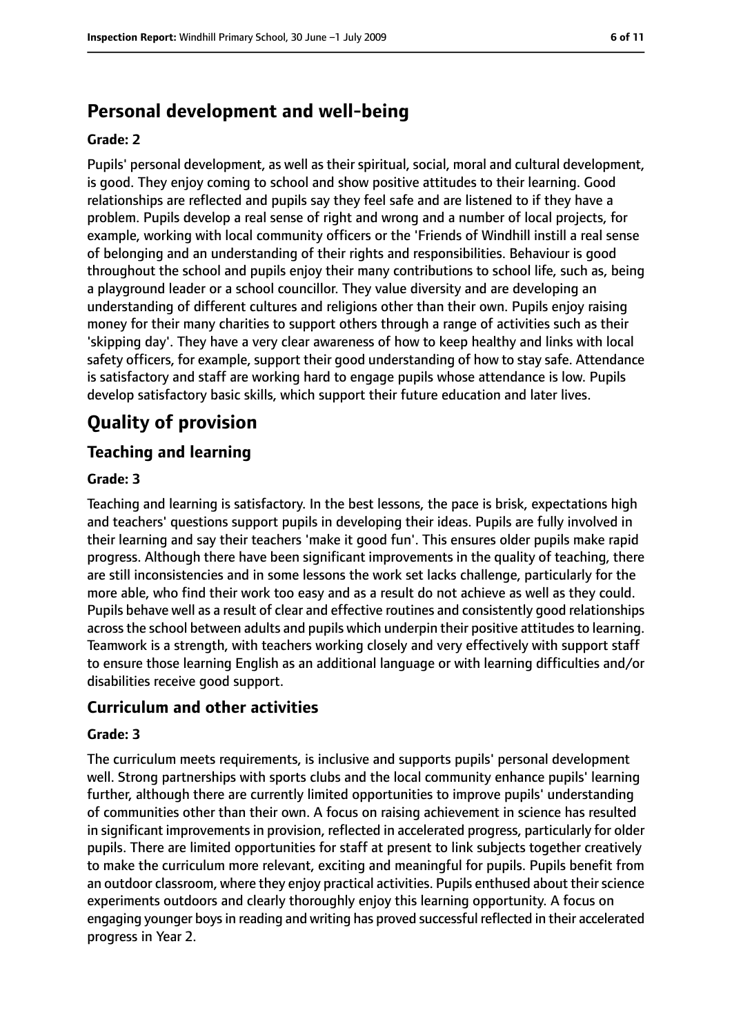# **Personal development and well-being**

#### **Grade: 2**

Pupils' personal development, as well as their spiritual, social, moral and cultural development, is good. They enjoy coming to school and show positive attitudes to their learning. Good relationships are reflected and pupils say they feel safe and are listened to if they have a problem. Pupils develop a real sense of right and wrong and a number of local projects, for example, working with local community officers or the 'Friends of Windhill instill a real sense of belonging and an understanding of their rights and responsibilities. Behaviour is good throughout the school and pupils enjoy their many contributions to school life, such as, being a playground leader or a school councillor. They value diversity and are developing an understanding of different cultures and religions other than their own. Pupils enjoy raising money for their many charities to support others through a range of activities such as their 'skipping day'. They have a very clear awareness of how to keep healthy and links with local safety officers, for example, support their good understanding of how to stay safe. Attendance is satisfactory and staff are working hard to engage pupils whose attendance is low. Pupils develop satisfactory basic skills, which support their future education and later lives.

# **Quality of provision**

## **Teaching and learning**

#### **Grade: 3**

Teaching and learning is satisfactory. In the best lessons, the pace is brisk, expectations high and teachers' questions support pupils in developing their ideas. Pupils are fully involved in their learning and say their teachers 'make it good fun'. This ensures older pupils make rapid progress. Although there have been significant improvements in the quality of teaching, there are still inconsistencies and in some lessons the work set lacks challenge, particularly for the more able, who find their work too easy and as a result do not achieve as well as they could. Pupils behave well as a result of clear and effective routines and consistently good relationships across the school between adults and pupils which underpin their positive attitudes to learning. Teamwork is a strength, with teachers working closely and very effectively with support staff to ensure those learning English as an additional language or with learning difficulties and/or disabilities receive good support.

## **Curriculum and other activities**

#### **Grade: 3**

The curriculum meets requirements, is inclusive and supports pupils' personal development well. Strong partnerships with sports clubs and the local community enhance pupils' learning further, although there are currently limited opportunities to improve pupils' understanding of communities other than their own. A focus on raising achievement in science has resulted in significant improvements in provision, reflected in accelerated progress, particularly for older pupils. There are limited opportunities for staff at present to link subjects together creatively to make the curriculum more relevant, exciting and meaningful for pupils. Pupils benefit from an outdoor classroom, where they enjoy practical activities. Pupils enthused about their science experiments outdoors and clearly thoroughly enjoy this learning opportunity. A focus on engaging younger boysin reading and writing has proved successful reflected in their accelerated progress in Year 2.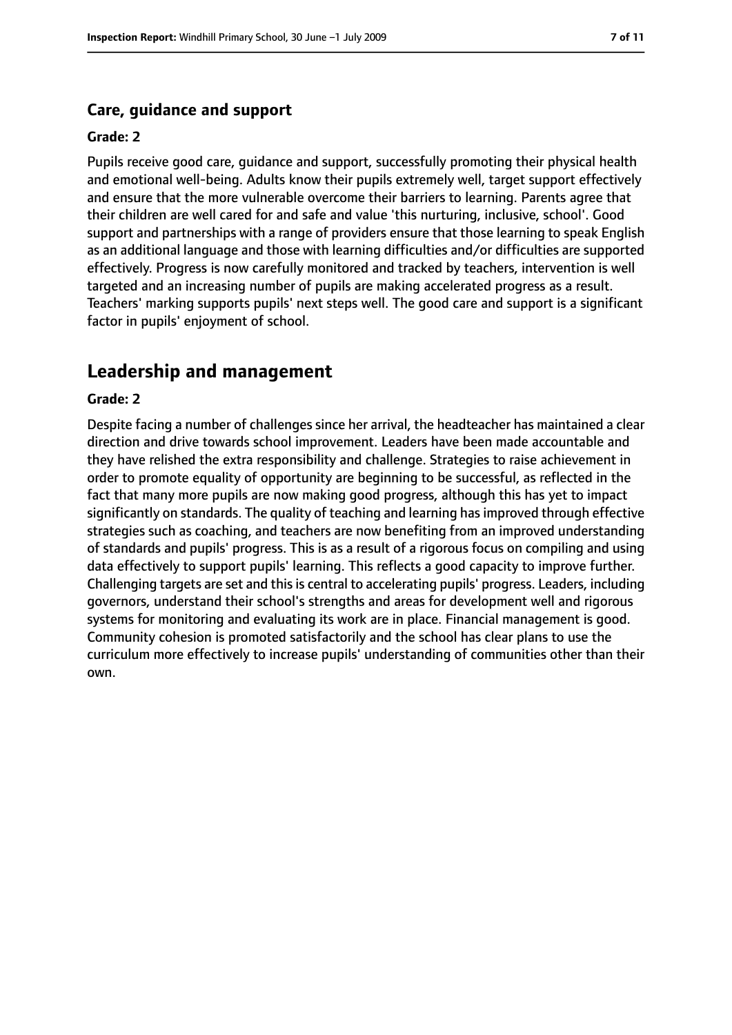#### **Care, guidance and support**

#### **Grade: 2**

Pupils receive good care, guidance and support, successfully promoting their physical health and emotional well-being. Adults know their pupils extremely well, target support effectively and ensure that the more vulnerable overcome their barriers to learning. Parents agree that their children are well cared for and safe and value 'this nurturing, inclusive, school'. Good support and partnerships with a range of providers ensure that those learning to speak English as an additional language and those with learning difficulties and/or difficulties are supported effectively. Progress is now carefully monitored and tracked by teachers, intervention is well targeted and an increasing number of pupils are making accelerated progress as a result. Teachers' marking supports pupils' next steps well. The good care and support is a significant factor in pupils' enjoyment of school.

## **Leadership and management**

#### **Grade: 2**

Despite facing a number of challenges since her arrival, the headteacher has maintained a clear direction and drive towards school improvement. Leaders have been made accountable and they have relished the extra responsibility and challenge. Strategies to raise achievement in order to promote equality of opportunity are beginning to be successful, as reflected in the fact that many more pupils are now making good progress, although this has yet to impact significantly on standards. The quality of teaching and learning has improved through effective strategies such as coaching, and teachers are now benefiting from an improved understanding of standards and pupils' progress. This is as a result of a rigorous focus on compiling and using data effectively to support pupils' learning. This reflects a good capacity to improve further. Challenging targets are set and this is central to accelerating pupils' progress. Leaders, including governors, understand their school's strengths and areas for development well and rigorous systems for monitoring and evaluating its work are in place. Financial management is good. Community cohesion is promoted satisfactorily and the school has clear plans to use the curriculum more effectively to increase pupils' understanding of communities other than their own.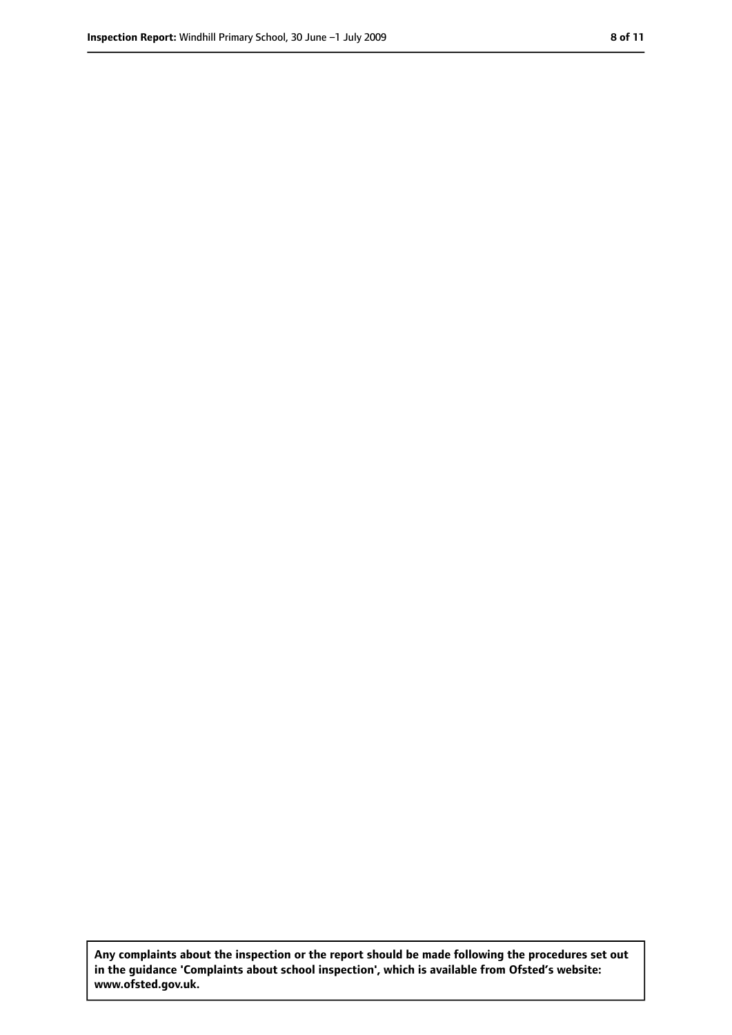**Any complaints about the inspection or the report should be made following the procedures set out in the guidance 'Complaints about school inspection', which is available from Ofsted's website: www.ofsted.gov.uk.**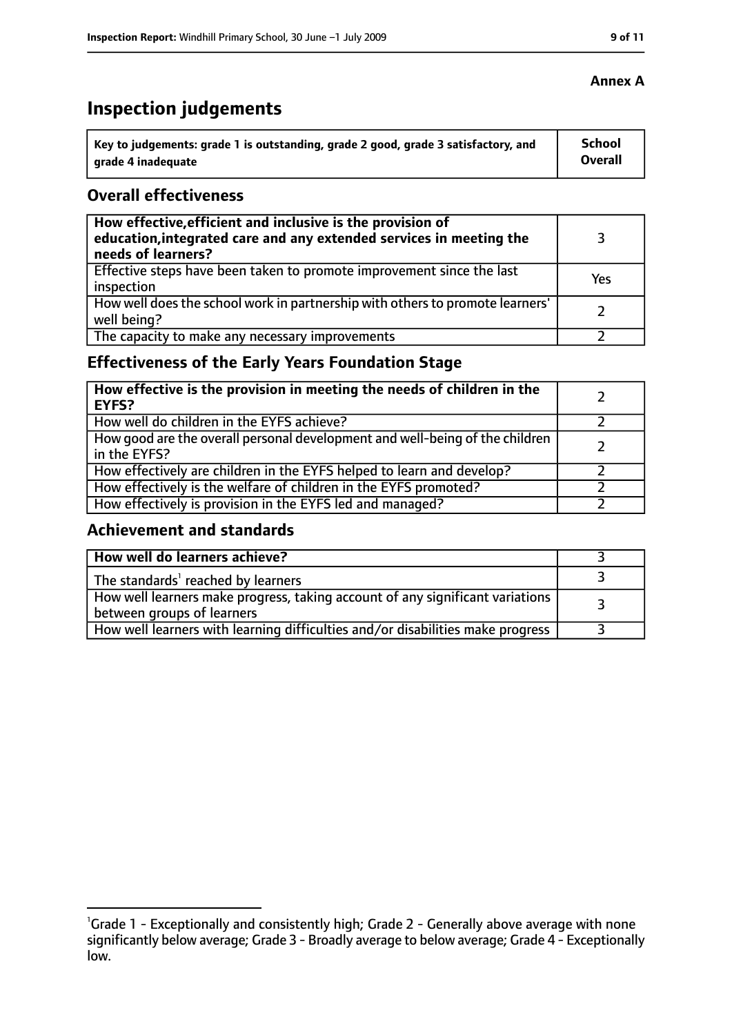# **Inspection judgements**

| $^{\backprime}$ Key to judgements: grade 1 is outstanding, grade 2 good, grade 3 satisfactory, and | School  |
|----------------------------------------------------------------------------------------------------|---------|
| arade 4 inadequate                                                                                 | Overall |

## **Overall effectiveness**

| How effective, efficient and inclusive is the provision of<br>education, integrated care and any extended services in meeting the<br>needs of learners? |     |
|---------------------------------------------------------------------------------------------------------------------------------------------------------|-----|
| Effective steps have been taken to promote improvement since the last<br>inspection                                                                     | Yes |
| How well does the school work in partnership with others to promote learners'<br>well being?                                                            |     |
| The capacity to make any necessary improvements                                                                                                         |     |

# **Effectiveness of the Early Years Foundation Stage**

| How effective is the provision in meeting the needs of children in the<br><b>EYFS?</b>       |  |
|----------------------------------------------------------------------------------------------|--|
| How well do children in the EYFS achieve?                                                    |  |
| How good are the overall personal development and well-being of the children<br>in the EYFS? |  |
| How effectively are children in the EYFS helped to learn and develop?                        |  |
| How effectively is the welfare of children in the EYFS promoted?                             |  |
| How effectively is provision in the EYFS led and managed?                                    |  |

## **Achievement and standards**

| How well do learners achieve?                                                                               |  |
|-------------------------------------------------------------------------------------------------------------|--|
| The standards <sup>1</sup> reached by learners                                                              |  |
| How well learners make progress, taking account of any significant variations<br>between groups of learners |  |
| How well learners with learning difficulties and/or disabilities make progress                              |  |

#### **Annex A**

<sup>&</sup>lt;sup>1</sup>Grade 1 - Exceptionally and consistently high; Grade 2 - Generally above average with none significantly below average; Grade 3 - Broadly average to below average; Grade 4 - Exceptionally low.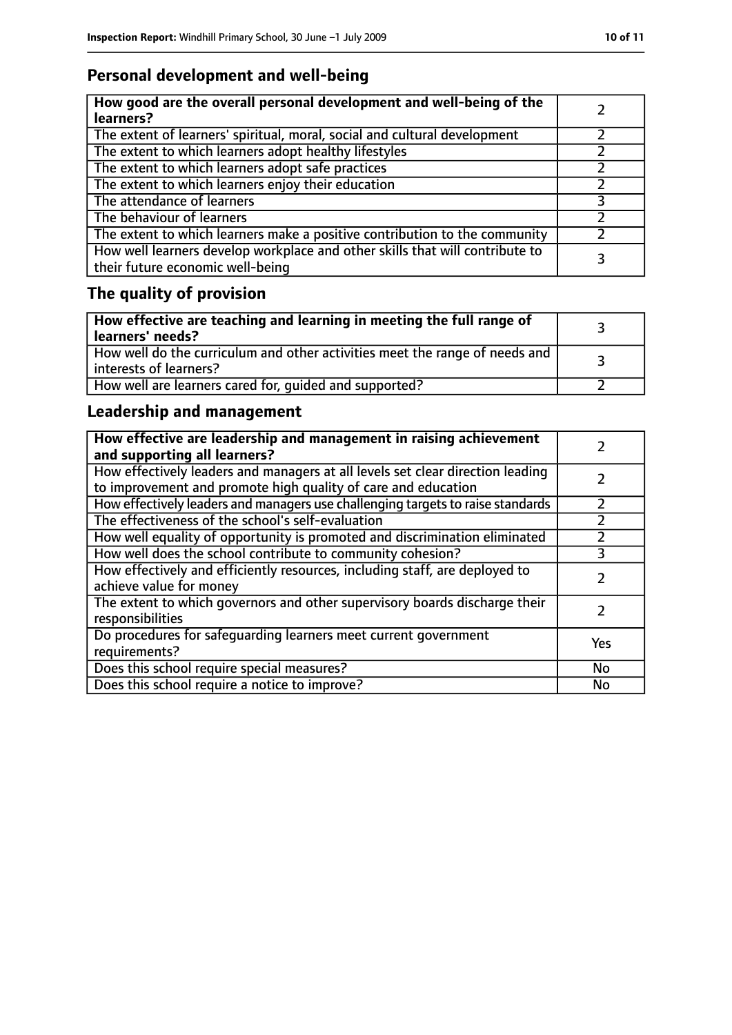# **Personal development and well-being**

| How good are the overall personal development and well-being of the<br>learners?                                 |  |
|------------------------------------------------------------------------------------------------------------------|--|
| The extent of learners' spiritual, moral, social and cultural development                                        |  |
| The extent to which learners adopt healthy lifestyles                                                            |  |
| The extent to which learners adopt safe practices                                                                |  |
| The extent to which learners enjoy their education                                                               |  |
| The attendance of learners                                                                                       |  |
| The behaviour of learners                                                                                        |  |
| The extent to which learners make a positive contribution to the community                                       |  |
| How well learners develop workplace and other skills that will contribute to<br>their future economic well-being |  |

# **The quality of provision**

| $\vert$ How effective are teaching and learning in meeting the full range of<br>  learners' needs?      |  |
|---------------------------------------------------------------------------------------------------------|--|
| How well do the curriculum and other activities meet the range of needs and<br>  interests of learners? |  |
| How well are learners cared for, quided and supported?                                                  |  |

# **Leadership and management**

| How effective are leadership and management in raising achievement<br>and supporting all learners?                                              |     |
|-------------------------------------------------------------------------------------------------------------------------------------------------|-----|
| How effectively leaders and managers at all levels set clear direction leading<br>to improvement and promote high quality of care and education |     |
| How effectively leaders and managers use challenging targets to raise standards                                                                 |     |
| The effectiveness of the school's self-evaluation                                                                                               |     |
| How well equality of opportunity is promoted and discrimination eliminated                                                                      |     |
| How well does the school contribute to community cohesion?                                                                                      | 3   |
| How effectively and efficiently resources, including staff, are deployed to<br>achieve value for money                                          |     |
| The extent to which governors and other supervisory boards discharge their<br>responsibilities                                                  |     |
| Do procedures for safequarding learners meet current government<br>requirements?                                                                | Yes |
| Does this school require special measures?                                                                                                      | No  |
| Does this school require a notice to improve?                                                                                                   | No  |